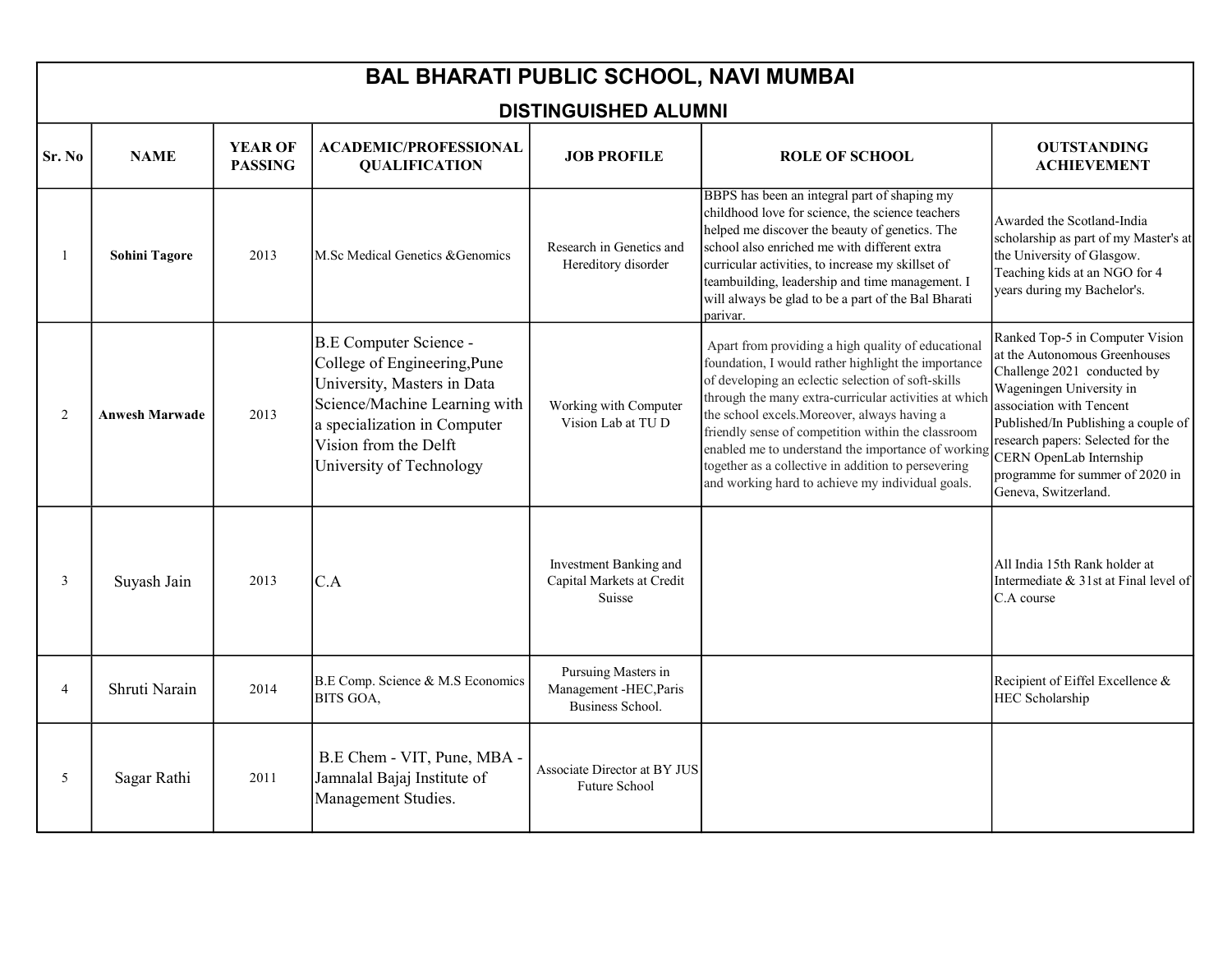| <b>BAL BHARATI PUBLIC SCHOOL, NAVI MUMBAI</b> |                       |                                  |                                                                                                                                                                                                             |                                                                          |                                                                                                                                                                                                                                                                                                                                                                                                                                                                                                 |                                                                                                                                                                                                                                                                                                                           |  |  |
|-----------------------------------------------|-----------------------|----------------------------------|-------------------------------------------------------------------------------------------------------------------------------------------------------------------------------------------------------------|--------------------------------------------------------------------------|-------------------------------------------------------------------------------------------------------------------------------------------------------------------------------------------------------------------------------------------------------------------------------------------------------------------------------------------------------------------------------------------------------------------------------------------------------------------------------------------------|---------------------------------------------------------------------------------------------------------------------------------------------------------------------------------------------------------------------------------------------------------------------------------------------------------------------------|--|--|
| <b>DISTINGUISHED ALUMNI</b>                   |                       |                                  |                                                                                                                                                                                                             |                                                                          |                                                                                                                                                                                                                                                                                                                                                                                                                                                                                                 |                                                                                                                                                                                                                                                                                                                           |  |  |
| Sr. No                                        | <b>NAME</b>           | <b>YEAR OF</b><br><b>PASSING</b> | <b>ACADEMIC/PROFESSIONAL</b><br><b>QUALIFICATION</b>                                                                                                                                                        | <b>JOB PROFILE</b>                                                       | <b>ROLE OF SCHOOL</b>                                                                                                                                                                                                                                                                                                                                                                                                                                                                           | <b>OUTSTANDING</b><br><b>ACHIEVEMENT</b>                                                                                                                                                                                                                                                                                  |  |  |
|                                               | <b>Sohini Tagore</b>  | 2013                             | M.Sc Medical Genetics &Genomics                                                                                                                                                                             | Research in Genetics and<br>Hereditory disorder                          | BBPS has been an integral part of shaping my<br>childhood love for science, the science teachers<br>helped me discover the beauty of genetics. The<br>school also enriched me with different extra<br>curricular activities, to increase my skillset of<br>teambuilding, leadership and time management. I<br>will always be glad to be a part of the Bal Bharati<br>parivar.                                                                                                                   | Awarded the Scotland-India<br>scholarship as part of my Master's at<br>the University of Glasgow.<br>Teaching kids at an NGO for 4<br>years during my Bachelor's.                                                                                                                                                         |  |  |
| 2                                             | <b>Anwesh Marwade</b> | 2013                             | B.E Computer Science -<br>College of Engineering, Pune<br>University, Masters in Data<br>Science/Machine Learning with<br>a specialization in Computer<br>Vision from the Delft<br>University of Technology | Working with Computer<br>Vision Lab at TU D                              | Apart from providing a high quality of educational<br>foundation, I would rather highlight the importance<br>of developing an eclectic selection of soft-skills<br>through the many extra-curricular activities at which<br>the school excels. Moreover, always having a<br>friendly sense of competition within the classroom<br>enabled me to understand the importance of working<br>together as a collective in addition to persevering<br>and working hard to achieve my individual goals. | Ranked Top-5 in Computer Vision<br>at the Autonomous Greenhouses<br>Challenge 2021 conducted by<br>Wageningen University in<br>association with Tencent<br>Published/In Publishing a couple of<br>research papers: Selected for the<br>CERN OpenLab Internship<br>programme for summer of 2020 in<br>Geneva, Switzerland. |  |  |
| 3                                             | Suyash Jain           | 2013                             | C.A                                                                                                                                                                                                         | Investment Banking and<br>Capital Markets at Credit<br>Suisse            |                                                                                                                                                                                                                                                                                                                                                                                                                                                                                                 | All India 15th Rank holder at<br>Intermediate & 31st at Final level of<br>C.A course                                                                                                                                                                                                                                      |  |  |
| $\overline{4}$                                | Shruti Narain         | 2014                             | B.E Comp. Science & M.S Economics<br><b>BITS GOA,</b>                                                                                                                                                       | Pursuing Masters in<br>Management -HEC, Paris<br><b>Business School.</b> |                                                                                                                                                                                                                                                                                                                                                                                                                                                                                                 | Recipient of Eiffel Excellence &<br>HEC Scholarship                                                                                                                                                                                                                                                                       |  |  |
| 5                                             | Sagar Rathi           | 2011                             | B.E Chem - VIT, Pune, MBA -<br>Jamnalal Bajaj Institute of<br>Management Studies.                                                                                                                           | Associate Director at BY JUS<br><b>Future School</b>                     |                                                                                                                                                                                                                                                                                                                                                                                                                                                                                                 |                                                                                                                                                                                                                                                                                                                           |  |  |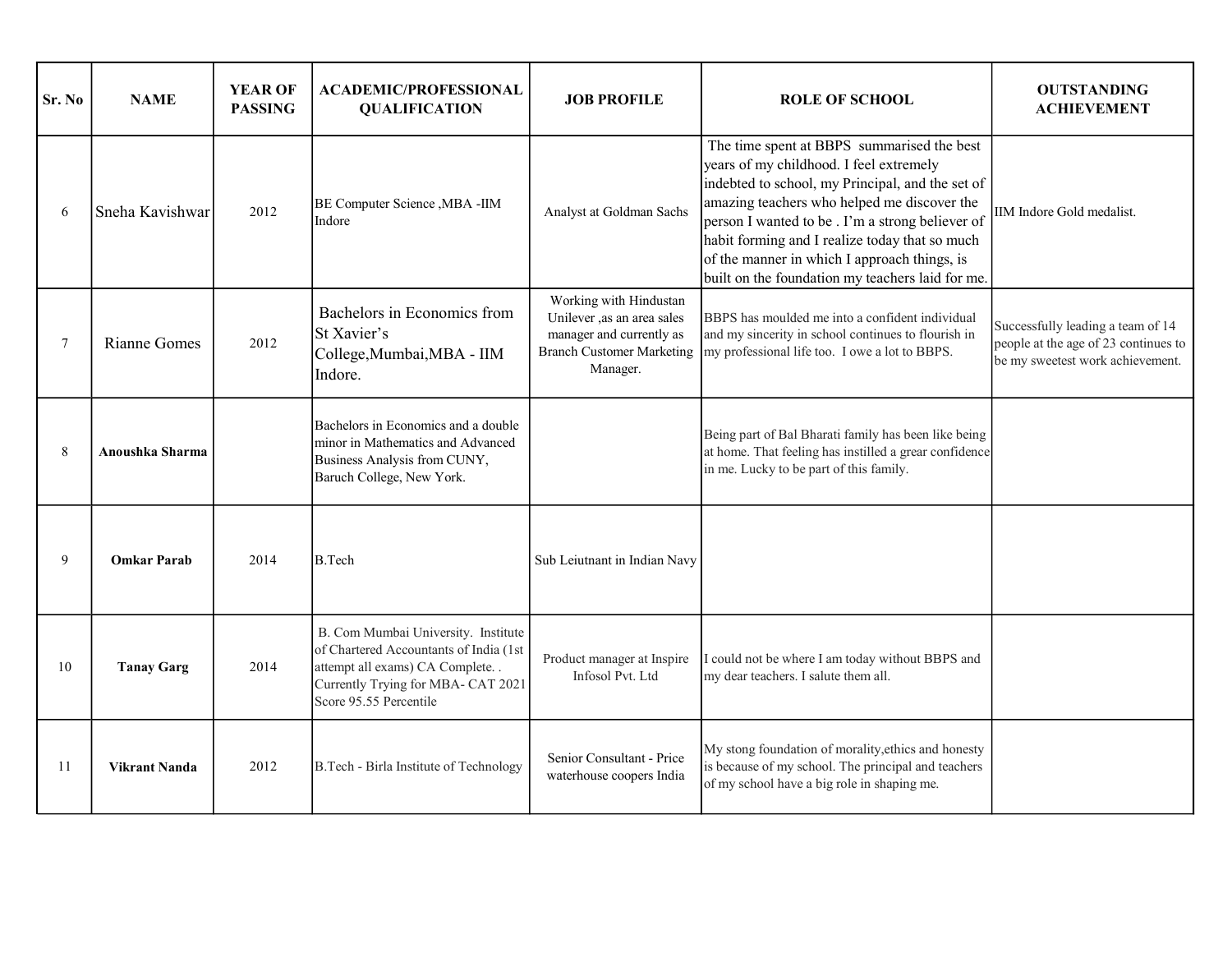| Sr. No | <b>NAME</b>          | <b>YEAR OF</b><br><b>PASSING</b> | <b>ACADEMIC/PROFESSIONAL</b><br><b>QUALIFICATION</b>                                                                                                                               | <b>JOB PROFILE</b>                                                                           | <b>ROLE OF SCHOOL</b>                                                                                                                                                                                                                                                                                                                                                                             | <b>OUTSTANDING</b><br><b>ACHIEVEMENT</b>                                                                      |
|--------|----------------------|----------------------------------|------------------------------------------------------------------------------------------------------------------------------------------------------------------------------------|----------------------------------------------------------------------------------------------|---------------------------------------------------------------------------------------------------------------------------------------------------------------------------------------------------------------------------------------------------------------------------------------------------------------------------------------------------------------------------------------------------|---------------------------------------------------------------------------------------------------------------|
| 6      | Sneha Kavishwar      | 2012                             | BE Computer Science , MBA -IIM<br>Indore                                                                                                                                           | Analyst at Goldman Sachs                                                                     | The time spent at BBPS summarised the best<br>years of my childhood. I feel extremely<br>indebted to school, my Principal, and the set of<br>amazing teachers who helped me discover the<br>person I wanted to be. I'm a strong believer of<br>habit forming and I realize today that so much<br>of the manner in which I approach things, is<br>built on the foundation my teachers laid for me. | IIM Indore Gold medalist.                                                                                     |
| 7      | Rianne Gomes         | 2012                             | Bachelors in Economics from<br>St Xavier's<br>College, Mumbai, MBA - IIM<br>Indore.                                                                                                | Working with Hindustan<br>Unilever ,as an area sales<br>manager and currently as<br>Manager. | BBPS has moulded me into a confident individual<br>and my sincerity in school continues to flourish in<br>Branch Customer Marketing  my professional life too. I owe a lot to BBPS.                                                                                                                                                                                                               | Successfully leading a team of 14<br>people at the age of 23 continues to<br>be my sweetest work achievement. |
| 8      | Anoushka Sharma      |                                  | Bachelors in Economics and a double<br>minor in Mathematics and Advanced<br>Business Analysis from CUNY,<br>Baruch College, New York.                                              |                                                                                              | Being part of Bal Bharati family has been like being<br>at home. That feeling has instilled a grear confidence<br>in me. Lucky to be part of this family.                                                                                                                                                                                                                                         |                                                                                                               |
| 9      | <b>Omkar Parab</b>   | 2014                             | B.Tech                                                                                                                                                                             | Sub Leiutnant in Indian Navy                                                                 |                                                                                                                                                                                                                                                                                                                                                                                                   |                                                                                                               |
| 10     | <b>Tanay Garg</b>    | 2014                             | B. Com Mumbai University. Institute<br>of Chartered Accountants of India (1st<br>attempt all exams) CA Complete. .<br>Currently Trying for MBA- CAT 2021<br>Score 95.55 Percentile | Product manager at Inspire<br>Infosol Pvt. Ltd                                               | I could not be where I am today without BBPS and<br>my dear teachers. I salute them all.                                                                                                                                                                                                                                                                                                          |                                                                                                               |
| 11     | <b>Vikrant Nanda</b> | 2012                             | B.Tech - Birla Institute of Technology                                                                                                                                             | Senior Consultant - Price<br>waterhouse coopers India                                        | My stong foundation of morality, ethics and honesty<br>is because of my school. The principal and teachers<br>of my school have a big role in shaping me.                                                                                                                                                                                                                                         |                                                                                                               |